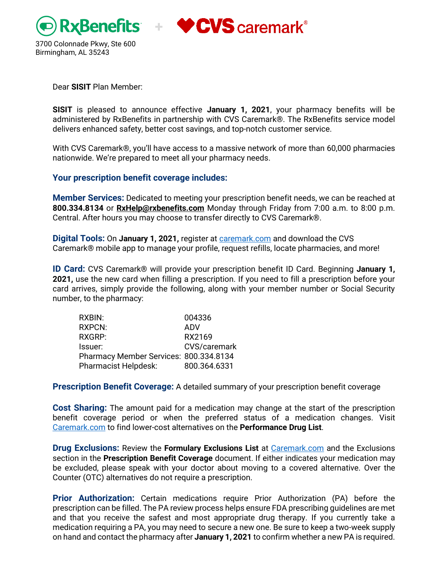



Dear **SISIT** Plan Member:

**SISIT** is pleased to announce effective **January 1, 2021**, your pharmacy benefits will be administered by RxBenefits in partnership with CVS Caremark®. The RxBenefits service model delivers enhanced safety, better cost savings, and top-notch customer service.

With CVS Caremark®, you'll have access to a massive network of more than 60,000 pharmacies nationwide. We're prepared to meet all your pharmacy needs.

#### **Your prescription benefit coverage includes:**

**Member Services:** Dedicated to meeting your prescription benefit needs, we can be reached at **800.334.8134** or **[RxHelp@rxbenefits.com](mailto:RxHelp@rxbenefits.com)** Monday through Friday from 7:00 a.m. to 8:00 p.m. Central. After hours you may choose to transfer directly to CVS Caremark®.

**Digital Tools:** On **January 1, 2021,** register a[t caremark.com](http://www.caremark.com/) and download the CVS Caremark® mobile app to manage your profile, request refills, locate pharmacies, and more!

**ID Card:** CVS Caremark® will provide your prescription benefit ID Card. Beginning **January 1, 2021,** use the new card when filling a prescription. If you need to fill a prescription before your card arrives, simply provide the following, along with your member number or Social Security number, to the pharmacy:

| 004336                                 |
|----------------------------------------|
| ADV                                    |
| RX2169                                 |
| CVS/caremark                           |
| Pharmacy Member Services: 800.334.8134 |
| 800.364.6331                           |
|                                        |

**Prescription Benefit Coverage:** A detailed summary of your prescription benefit coverage

**Cost Sharing:** The amount paid for a medication may change at the start of the prescription benefit coverage period or when the preferred status of a medication changes. Visit [Caremark.com](http://www.caremark.com/) to find lower-cost alternatives on the **Performance Drug List**.

**Drug Exclusions:** Review the **Formulary Exclusions List** at [Caremark.com](http://www.caremark.com/) and the Exclusions section in the **Prescription Benefit Coverage** document. If either indicates your medication may be excluded, please speak with your doctor about moving to a covered alternative. Over the Counter (OTC) alternatives do not require a prescription.

**Prior Authorization:** Certain medications require Prior Authorization (PA) before the prescription can be filled. The PA review process helps ensure FDA prescribing guidelines are met and that you receive the safest and most appropriate drug therapy. If you currently take a medication requiring a PA, you may need to secure a new one. Be sure to keep a two-week supply on hand and contact the pharmacy after **January 1, 2021** to confirm whether a new PA is required.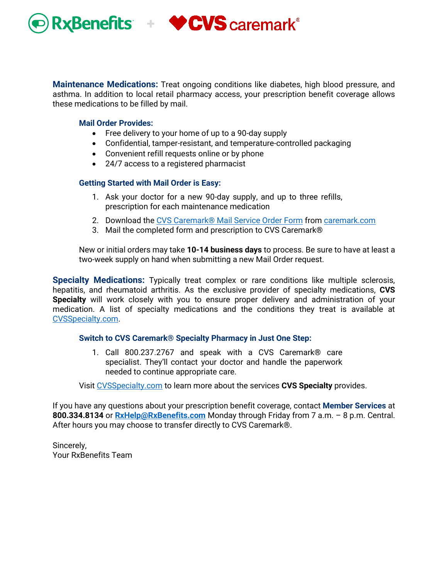

**Maintenance Medications:** Treat ongoing conditions like diabetes, high blood pressure, and asthma. In addition to local retail pharmacy access, your prescription benefit coverage allows these medications to be filled by mail.

#### **Mail Order Provides:**

- Free delivery to your home of up to a 90-day supply
- Confidential, tamper-resistant, and temperature-controlled packaging
- Convenient refill requests online or by phone
- 24/7 access to a registered pharmacist

#### **Getting Started with Mail Order is Easy:**

- 1. Ask your doctor for a new 90-day supply, and up to three refills, prescription for each maintenance medication
- 2. Download the [CVS Caremark®](https://www.caremark.com/portal/asset/mof_unauth.pdf) Mail Service Order Form fro[m caremark.com](https://www.caremark.com/)
- 3. Mail the completed form and prescription to CVS Caremark®

New or initial orders may take **10-14 business days** to process. Be sure to have at least a two-week supply on hand when submitting a new Mail Order request.

**Specialty Medications:** Typically treat complex or rare conditions like multiple sclerosis, hepatitis, and rheumatoid arthritis. As the exclusive provider of specialty medications, **CVS Specialty** will work closely with you to ensure proper delivery and administration of your medication. A list of specialty medications and the conditions they treat is available at [CVSSpecialty.com.](http://www.cvsspecialty.com/)

#### **Switch to CVS Caremark® Specialty Pharmacy in Just One Step:**

1. Call 800.237.2767 and speak with a CVS Caremark® care specialist. They'll contact your doctor and handle the paperwork needed to continue appropriate care.

Visit [CVSSpecialty.com](http://www.cvsspecialty.com/) to learn more about the services **CVS Specialty** provides.

If you have any questions about your prescription benefit coverage, contact **Member Services** at **800.334.8134** or **[RxHelp@RxBenefits.com](mailto:RxHelp@RxBenefits.com)** Monday through Friday from 7 a.m. – 8 p.m. Central. After hours you may choose to transfer directly to CVS Caremark®.

Sincerely, Your RxBenefits Team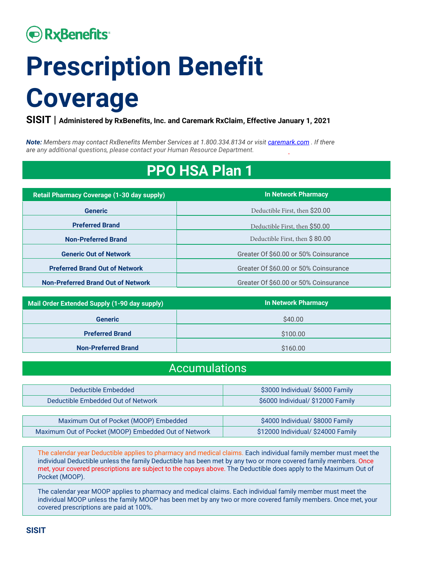# **• RxBenefits**

# **Prescription Benefit Coverage**

**SISIT | Administered by RxBenefits, Inc. and Caremark RxClaim, Effective January 1, 2021**

*Note: Members may contact RxBenefits Member Services at 1.800.334.8134 or visi[t caremark.com](http://caremark.com/) . If there are any additional questions, please contact your Human Resource Department.*

# **PPO HSA Plan 1**

| <b>Retail Pharmacy Coverage (1-30 day supply)</b> | <b>In Network Pharmacy</b>            |
|---------------------------------------------------|---------------------------------------|
| <b>Generic</b>                                    | Deductible First, then \$20.00        |
| <b>Preferred Brand</b>                            | Deductible First, then \$50.00        |
| <b>Non-Preferred Brand</b>                        | Deductible First, then \$80.00        |
| <b>Generic Out of Network</b>                     | Greater Of \$60.00 or 50% Coinsurance |
| <b>Preferred Brand Out of Network</b>             | Greater Of \$60.00 or 50% Coinsurance |
| <b>Non-Preferred Brand Out of Network</b>         | Greater Of \$60.00 or 50% Coinsurance |

| Mail Order Extended Supply (1-90 day supply) | <b>In Network Pharmacy</b> |
|----------------------------------------------|----------------------------|
| <b>Generic</b>                               | \$40.00                    |
| <b>Preferred Brand</b>                       | \$100.00                   |
| <b>Non-Preferred Brand</b>                   | \$160.00                   |

### Accumulations

| Deductible Embedded                                  | \$3000 Individual/ \$6000 Family   |
|------------------------------------------------------|------------------------------------|
| Deductible Embedded Out of Network                   | \$6000 Individual/ \$12000 Family  |
|                                                      |                                    |
| Maximum Out of Pocket (MOOP) Embedded                | \$4000 Individual/ \$8000 Family   |
| Maximum Out of Pocket (MOOP) Embedded Out of Network | \$12000 Individual/ \$24000 Family |

The calendar year Deductible applies to pharmacy and medical claims. Each individual family member must meet the individual Deductible unless the family Deductible has been met by any two or more covered family members. Once met, your covered prescriptions are subject to the copays above. The Deductible does apply to the Maximum Out of Pocket (MOOP).

The calendar year MOOP applies to pharmacy and medical claims. Each individual family member must meet the individual MOOP unless the family MOOP has been met by any two or more covered family members. Once met, your covered prescriptions are paid at 100%.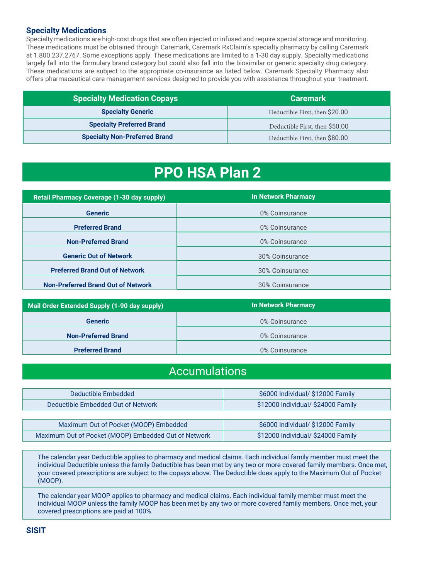#### **Specialty Medications**

Specialty medications are high-cost drugs that are often injected or infused and require special storage and monitoring. These medications must be obtained through Caremark, Caremark RxClaim's specialty pharmacy by calling Caremark at 1.800.237.2767. Some exceptions apply. These medications are limited to a 1-30 day supply. Specialty medications largely fall into the formulary brand category but could also fall into the biosimilar or generic specialty drug category. These medications are subject to the appropriate co-insurance as listed below. Caremark Specialty Pharmacy also offers pharmaceutical care management services designed to provide you with assistance throughout your treatment.

| <b>Specialty Medication Copays</b>   | <b>Caremark</b>                |
|--------------------------------------|--------------------------------|
| <b>Specialty Generic</b>             | Deductible First, then \$20.00 |
| <b>Specialty Preferred Brand</b>     | Deductible First, then \$50.00 |
| <b>Specialty Non-Preferred Brand</b> | Deductible First, then \$80.00 |

# **PPO HSA Plan 2**

| <b>Retail Pharmacy Coverage (1-30 day supply)</b> | <b>In Network Pharmacy</b> |
|---------------------------------------------------|----------------------------|
| <b>Generic</b>                                    | 0% Coinsurance             |
| <b>Preferred Brand</b>                            | 0% Coinsurance             |
| <b>Non-Preferred Brand</b>                        | 0% Coinsurance             |
| <b>Generic Out of Network</b>                     | 30% Coinsurance            |
| <b>Preferred Brand Out of Network</b>             | 30% Coinsurance            |
| <b>Non-Preferred Brand Out of Network</b>         | 30% Coinsurance            |

| Mail Order Extended Supply (1-90 day supply) | <b>In Network Pharmacy</b> |
|----------------------------------------------|----------------------------|
| <b>Generic</b>                               | 0% Coinsurance             |
| <b>Non-Preferred Brand</b>                   | 0% Coinsurance             |
| <b>Preferred Brand</b>                       | 0% Coinsurance             |

### Accumulations

| Deductible Embedded                | \$6000 Individual/ \$12000 Family  |
|------------------------------------|------------------------------------|
| Deductible Embedded Out of Network | \$12000 Individual/ \$24000 Family |

| Maximum Out of Pocket (MOOP) Embedded                | \$6000 Individual/ \$12000 Family  |
|------------------------------------------------------|------------------------------------|
| Maximum Out of Pocket (MOOP) Embedded Out of Network | \$12000 Individual/ \$24000 Family |

The calendar year Deductible applies to pharmacy and medical claims. Each individual family member must meet the individual Deductible unless the family Deductible has been met by any two or more covered family members. Once met, your covered prescriptions are subject to the copays above. The Deductible does apply to the Maximum Out of Pocket (MOOP).

The calendar year MOOP applies to pharmacy and medical claims. Each individual family member must meet the individual MOOP unless the family MOOP has been met by any two or more covered family members. Once met, your covered prescriptions are paid at 100%.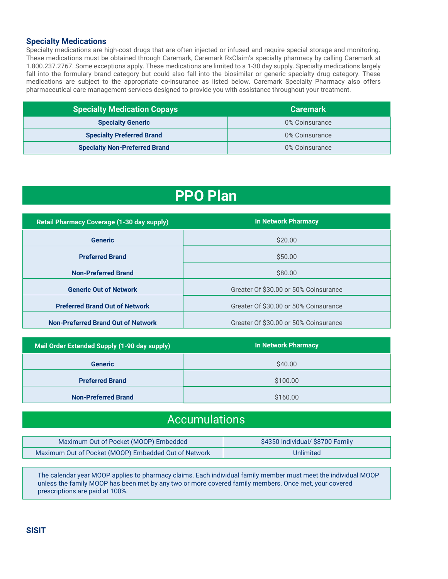#### **Specialty Medications**

Specialty medications are high-cost drugs that are often injected or infused and require special storage and monitoring. These medications must be obtained through Caremark, Caremark RxClaim's specialty pharmacy by calling Caremark at 1.800.237.2767. Some exceptions apply. These medications are limited to a 1-30 day supply. Specialty medications largely fall into the formulary brand category but could also fall into the biosimilar or generic specialty drug category. These medications are subject to the appropriate co-insurance as listed below. Caremark Specialty Pharmacy also offers pharmaceutical care management services designed to provide you with assistance throughout your treatment.

| <b>Specialty Medication Copays</b>   | <b>Caremark</b> |
|--------------------------------------|-----------------|
| <b>Specialty Generic</b>             | 0% Coinsurance  |
| <b>Specialty Preferred Brand</b>     | 0% Coinsurance  |
| <b>Specialty Non-Preferred Brand</b> | 0% Coinsurance  |

### **PPO Plan**

| <b>Retail Pharmacy Coverage (1-30 day supply)</b> | <b>In Network Pharmacy</b>            |
|---------------------------------------------------|---------------------------------------|
| <b>Generic</b>                                    | \$20.00                               |
| <b>Preferred Brand</b>                            | \$50.00                               |
| <b>Non-Preferred Brand</b>                        | \$80.00                               |
| <b>Generic Out of Network</b>                     | Greater Of \$30.00 or 50% Coinsurance |
| <b>Preferred Brand Out of Network</b>             | Greater Of \$30.00 or 50% Coinsurance |
| <b>Non-Preferred Brand Out of Network</b>         | Greater Of \$30.00 or 50% Coinsurance |

| Mail Order Extended Supply (1-90 day supply) | <b>In Network Pharmacy</b> |
|----------------------------------------------|----------------------------|
| <b>Generic</b>                               | \$40.00                    |
| <b>Preferred Brand</b>                       | \$100.00                   |
| <b>Non-Preferred Brand</b>                   | \$160.00                   |

### Accumulations

| Maximum Out of Pocket (MOOP) Embedded                | \$4350 Individual/ \$8700 Family |
|------------------------------------------------------|----------------------------------|
| Maximum Out of Pocket (MOOP) Embedded Out of Network | Unlimited                        |

The calendar year MOOP applies to pharmacy claims. Each individual family member must meet the individual MOOP unless the family MOOP has been met by any two or more covered family members. Once met, your covered prescriptions are paid at 100%.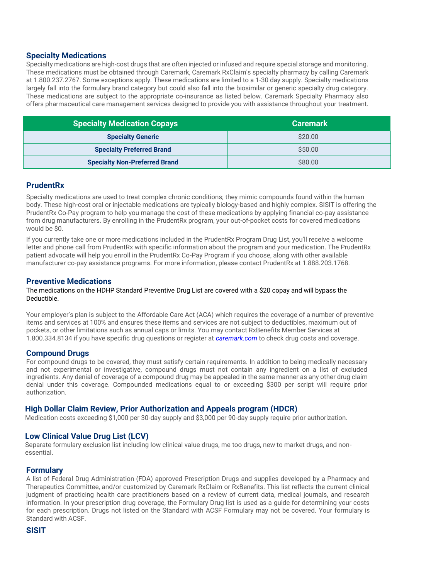#### **Specialty Medications**

Specialty medications are high-cost drugs that are often injected or infused and require special storage and monitoring. These medications must be obtained through Caremark, Caremark RxClaim's specialty pharmacy by calling Caremark at 1.800.237.2767. Some exceptions apply. These medications are limited to a 1-30 day supply. Specialty medications largely fall into the formulary brand category but could also fall into the biosimilar or generic specialty drug category. These medications are subject to the appropriate co-insurance as listed below. Caremark Specialty Pharmacy also offers pharmaceutical care management services designed to provide you with assistance throughout your treatment.

| <b>Specialty Medication Copays</b>   | <b>Caremark</b> |
|--------------------------------------|-----------------|
| <b>Specialty Generic</b>             | \$20.00         |
| <b>Specialty Preferred Brand</b>     | \$50.00         |
| <b>Specialty Non-Preferred Brand</b> | \$80.00         |

#### **PrudentRx**

Specialty medications are used to treat complex chronic conditions; they mimic compounds found within the human body. These high-cost oral or injectable medications are typically biology-based and highly complex. SISIT is offering the PrudentRx Co-Pay program to help you manage the cost of these medications by applying financial co-pay assistance from drug manufacturers. By enrolling in the PrudentRx program, your out-of-pocket costs for covered medications would be \$0.

If you currently take one or more medications included in the PrudentRx Program Drug List, you'll receive a welcome letter and phone call from PrudentRx with specific information about the program and your medication. The PrudentRx patient advocate will help you enroll in the PrudentRx Co-Pay Program if you choose, along with other available manufacturer co-pay assistance programs. For more information, please contact PrudentRx at 1.888.203.1768.

#### **Preventive Medications**

#### The medications on the HDHP Standard Preventive Drug List are covered with a \$20 copay and will bypass the Deductible.

Your employer's plan is subject to the Affordable Care Act (ACA) which requires the coverage of a number of preventive items and services at 100% and ensures these items and services are not subject to deductibles, maximum out of pockets, or other limitations such as annual caps or limits. You may contact RxBenefits Member Services at 1.800.334.8134 if you have specific drug questions or register at *[caremark.com](http://caremark.com/)* to check drug costs and coverage.

#### **Compound Drugs**

For compound drugs to be covered, they must satisfy certain requirements. In addition to being medically necessary and not experimental or investigative, compound drugs must not contain any ingredient on a list of excluded ingredients. Any denial of coverage of a compound drug may be appealed in the same manner as any other drug claim denial under this coverage. Compounded medications equal to or exceeding \$300 per script will require prior authorization.

#### **High Dollar Claim Review, Prior Authorization and Appeals program (HDCR)**

Medication costs exceeding \$1,000 per 30-day supply and \$3,000 per 90-day supply require prior authorization.

#### **Low Clinical Value Drug List (LCV)**

Separate formulary exclusion list including low clinical value drugs, me too drugs, new to market drugs, and nonessential.

#### **Formulary**

A list of Federal Drug Administration (FDA) approved Prescription Drugs and supplies developed by a Pharmacy and Therapeutics Committee, and/or customized by Caremark RxClaim or RxBenefits. This list reflects the current clinical judgment of practicing health care practitioners based on a review of current data, medical journals, and research information. In your prescription drug coverage, the Formulary Drug list is used as a guide for determining your costs for each prescription. Drugs not listed on the Standard with ACSF Formulary may not be covered. Your formulary is Standard with ACSF.

#### **SISIT**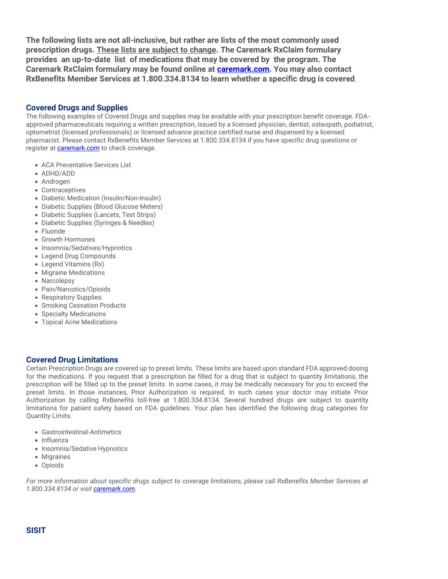**The following lists are not all-inclusive, but rather are lists of the most commonly used prescription drugs. These lists are subject to change. The Caremark RxClaim formulary provides an up-to-date list of medications that may be covered by the program. The Caremark RxClaim formulary may be found online at [caremark.com.](http://caremark.com/) You may also contact RxBenefits Member Services at 1.800.334.8134 to learn whether a specific drug is covered**.

#### **Covered Drugs and Supplies**

The following examples of Covered Drugs and supplies may be available with your prescription benefit coverage. FDAapproved pharmaceuticals requiring a written prescription, issued by a licensed physician, dentist, osteopath, podiatrist, optometrist (licensed professionals) or licensed advance practice certified nurse and dispensed by a licensed pharmacist. Please contact RxBenefits Member Services at 1.800.334.8134 if you have specific drug questions or register at **caremark.com** to check coverage.

- ACA Preventative Services List
- ADHD/ADD
- Androgen
- Contraceptives
- Diabetic Medication (Insulin/Non-Insulin)
- Diabetic Supplies (Blood Glucose Meters)
- Diabetic Supplies (Lancets, Test Strips)
- Diabetic Supplies (Syringes & Needles)
- Fluoride
- Growth Hormones
- Insomnia/Sedatives/Hypnotics
- Legend Drug Compounds
- Legend Vitamins (Rx)
- Migraine Medications
- Narcolepsy
- Pain/Narcotics/Opioids
- Respiratory Supplies
- Smoking Cessation Products
- Specialty Medications
- Topical Acne Medications

#### **Covered Drug Limitations**

Certain Prescription Drugs are covered up to preset limits. These limits are based upon standard FDA approved dosing for the medications. If you request that a prescription be filled for a drug that is subject to quantity limitations, the prescription will be filled up to the preset limits. In some cases, it may be medically necessary for you to exceed the preset limits. In those instances, Prior Authorization is required. In such cases your doctor may initiate Prior Authorization by calling RxBenefits toll-free at 1.800.334.8134. Several hundred drugs are subject to quantity limitations for patient safety based on FDA guidelines. Your plan has identified the following drug categories for Quantity Limits.

- Gastrointestinal-Antimetics
- Influenza
- Insomnia/Sedative Hypnotics
- Migraines
- Opioids

*For more information about specific drugs subject to coverage limitations, please call RxBenefits Member Services at 1.800.334.8134 or visit [caremark.com.](http://caremark.com/)*

#### **SISIT**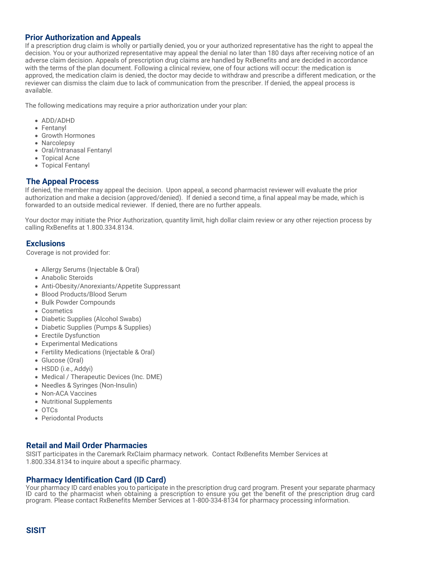#### **Prior Authorization and Appeals**

If a prescription drug claim is wholly or partially denied, you or your authorized representative has the right to appeal the decision. You or your authorized representative may appeal the denial no later than 180 days after receiving notice of an adverse claim decision. Appeals of prescription drug claims are handled by RxBenefits and are decided in accordance with the terms of the plan document. Following a clinical review, one of four actions will occur: the medication is approved, the medication claim is denied, the doctor may decide to withdraw and prescribe a different medication, or the reviewer can dismiss the claim due to lack of communication from the prescriber. If denied, the appeal process is available.

The following medications may require a prior authorization under your plan:

- ADD/ADHD
- Fentanyl
- Growth Hormones
- Narcolepsy
- Oral/Intranasal Fentanyl
- Topical Acne
- Topical Fentanyl

#### **The Appeal Process**

If denied, the member may appeal the decision. Upon appeal, a second pharmacist reviewer will evaluate the prior authorization and make a decision (approved/denied). If denied a second time, a final appeal may be made, which is forwarded to an outside medical reviewer. If denied, there are no further appeals.

Your doctor may initiate the Prior Authorization, quantity limit, high dollar claim review or any other rejection process by calling RxBenefits at 1.800.334.8134.

#### **Exclusions**

Coverage is not provided for:

- Allergy Serums (Injectable & Oral)
- Anabolic Steroids
- Anti-Obesity/Anorexiants/Appetite Suppressant
- Blood Products/Blood Serum
- Bulk Powder Compounds
- Cosmetics
- Diabetic Supplies (Alcohol Swabs)
- Diabetic Supplies (Pumps & Supplies)
- Erectile Dysfunction
- Experimental Medications
- Fertility Medications (Injectable & Oral)
- Glucose (Oral)
- HSDD (i.e., Addyi)
- Medical / Therapeutic Devices (Inc. DME)
- Needles & Syringes (Non-Insulin)
- Non-ACA Vaccines
- Nutritional Supplements
- OTCs
- Periodontal Products

#### **Retail and Mail Order Pharmacies**

SISIT participates in the Caremark RxClaim pharmacy network. Contact RxBenefits Member Services at 1.800.334.8134 to inquire about a specific pharmacy.

#### **Pharmacy Identification Card (ID Card)**

Your pharmacy ID card enables you to participate in the prescription drug card program. Present your separate pharmacy ID card to the pharmacist when obtaining a prescription to ensure you get the benefit of the prescription drug card program. Please contact RxBenefits Member Services at 1-800-334-8134 for pharmacy processing information.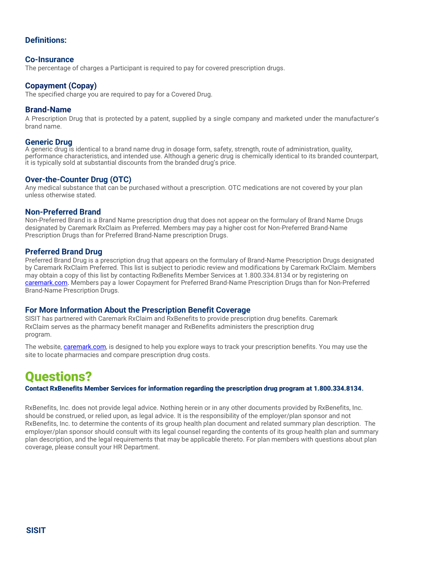#### **Definitions:**

#### **Co-Insurance**

The percentage of charges a Participant is required to pay for covered prescription drugs.

#### **Copayment (Copay)**

The specified charge you are required to pay for a Covered Drug.

#### **Brand-Name**

A Prescription Drug that is protected by a patent, supplied by a single company and marketed under the manufacturer's brand name.

#### **Generic Drug**

A generic drug is identical to a brand name drug in dosage form, safety, strength, route of administration, quality, performance characteristics, and intended use. Although a generic drug is chemically identical to its branded counterpart, it is typically sold at substantial discounts from the branded drug's price.

#### **Over-the-Counter Drug (OTC)**

Any medical substance that can be purchased without a prescription. OTC medications are not covered by your plan unless otherwise stated.

#### **Non-Preferred Brand**

Non-Preferred Brand is a Brand Name prescription drug that does not appear on the formulary of Brand Name Drugs designated by Caremark RxClaim as Preferred. Members may pay a higher cost for Non-Preferred Brand-Name Prescription Drugs than for Preferred Brand-Name prescription Drugs.

#### **Preferred Brand Drug**

Preferred Brand Drug is a prescription drug that appears on the formulary of Brand-Name Prescription Drugs designated by Caremark RxClaim Preferred. This list is subject to periodic review and modifications by Caremark RxClaim. Members may obtain a copy of this list by contacting RxBenefits Member Services at 1.800.334.8134 or by registering on [caremark.com.](http://caremark.com/) Members pay a lower Copayment for Preferred Brand-Name Prescription Drugs than for Non-Preferred Brand-Name Prescription Drugs.

#### **For More Information About the Prescription Benefit Coverage**

SISIT has partnered with Caremark RxClaim and RxBenefits to provide prescription drug benefits. Caremark RxClaim serves as the pharmacy benefit manager and RxBenefits administers the prescription drug program.

The website, *caremark.com*, is designed to help you explore ways to track your prescription benefits. You may use the site to locate pharmacies and compare prescription drug costs.

### Questions?

#### Contact RxBenefits Member Services for information regarding the prescription drug program at 1.800.334.8134.

RxBenefits, Inc. does not provide legal advice. Nothing herein or in any other documents provided by RxBenefits, Inc. should be construed, or relied upon, as legal advice. It is the responsibility of the employer/plan sponsor and not RxBenefits, Inc. to determine the contents of its group health plan document and related summary plan description. The employer/plan sponsor should consult with its legal counsel regarding the contents of its group health plan and summary plan description, and the legal requirements that may be applicable thereto. For plan members with questions about plan coverage, please consult your HR Department.